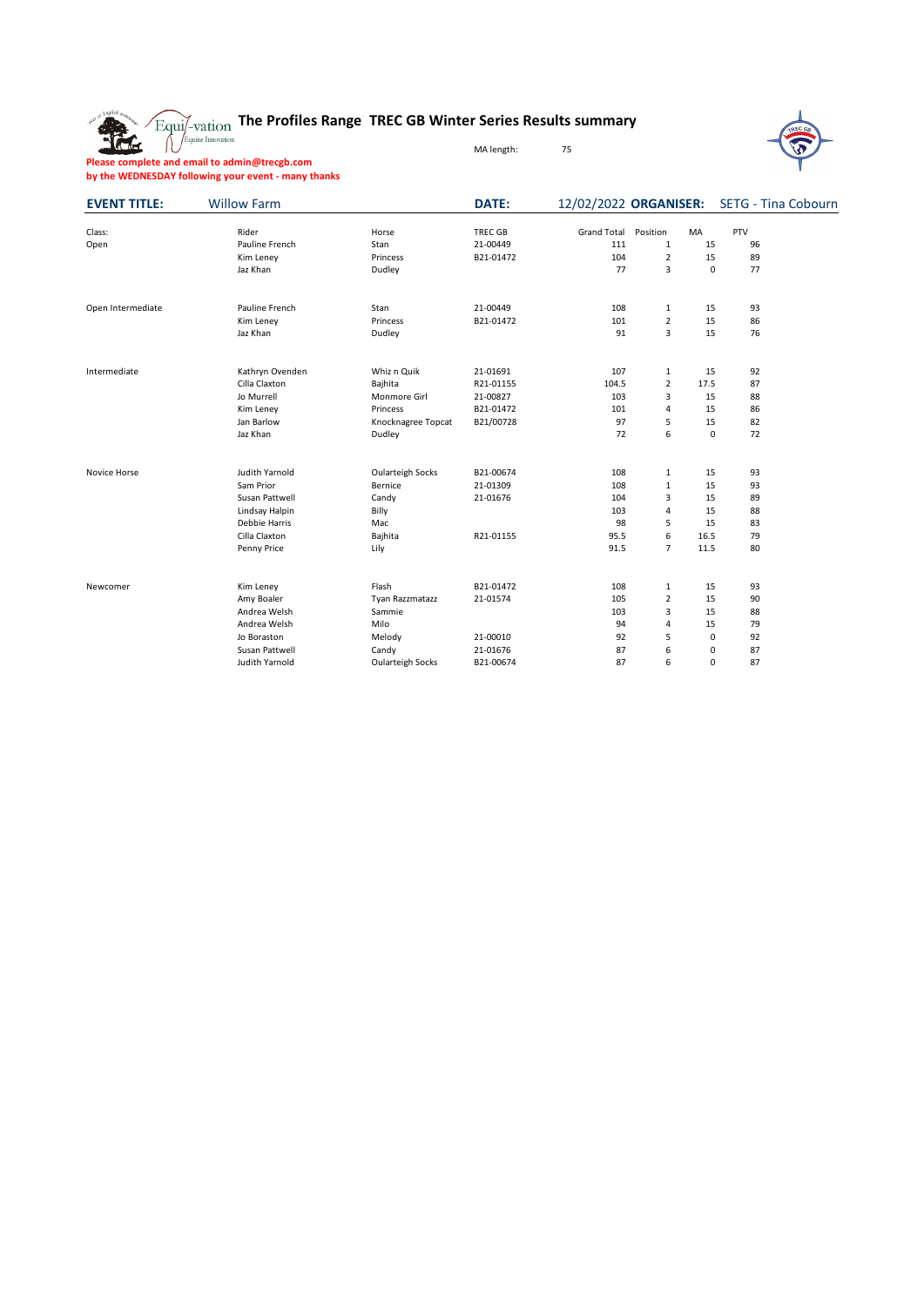The

## **The Profiles Range TREC GB Winter Series Results summary**

MA length: 75



**Please complete and email to admin@trecgb.com by the WEDNESDAY following your event - many thanks**

| <b>EVENT TITLE:</b> | <b>Willow Farm</b> |                         | DATE:          |                    |                |             |     | 12/02/2022 ORGANISER: SETG - Tina Cobourn |
|---------------------|--------------------|-------------------------|----------------|--------------------|----------------|-------------|-----|-------------------------------------------|
| Class:              | Rider              | Horse                   | <b>TREC GB</b> | <b>Grand Total</b> | Position       | MA          | PTV |                                           |
| Open                | Pauline French     | Stan                    | 21-00449       | 111                | $\mathbf{1}$   | 15          | 96  |                                           |
|                     | Kim Leney          | Princess                | B21-01472      | 104                | $\overline{2}$ | 15          | 89  |                                           |
|                     | Jaz Khan           | Dudley                  |                | 77                 | 3              | $\mathbf 0$ | 77  |                                           |
| Open Intermediate   | Pauline French     | Stan                    | 21-00449       | 108                | $\mathbf{1}$   | 15          | 93  |                                           |
|                     | Kim Leney          | Princess                | B21-01472      | 101                | $\overline{2}$ | 15          | 86  |                                           |
|                     | Jaz Khan           | Dudley                  |                | 91                 | 3              | 15          | 76  |                                           |
| Intermediate        | Kathryn Ovenden    | Whiz n Quik             | 21-01691       | 107                | $\mathbf{1}$   | 15          | 92  |                                           |
|                     | Cilla Claxton      | Bajhita                 | R21-01155      | 104.5              | $\overline{2}$ | 17.5        | 87  |                                           |
|                     | Jo Murrell         | Monmore Girl            | 21-00827       | 103                | 3              | 15          | 88  |                                           |
|                     | Kim Leney          | Princess                | B21-01472      | 101                | 4              | 15          | 86  |                                           |
|                     | Jan Barlow         | Knocknagree Topcat      | B21/00728      | 97                 | 5              | 15          | 82  |                                           |
|                     | Jaz Khan           | Dudley                  |                | 72                 | 6              | 0           | 72  |                                           |
| Novice Horse        | Judith Yarnold     | <b>Oularteigh Socks</b> | B21-00674      | 108                | $\mathbf{1}$   | 15          | 93  |                                           |
|                     | Sam Prior          | Bernice                 | 21-01309       | 108                | $\mathbf 1$    | 15          | 93  |                                           |
|                     | Susan Pattwell     | Candy                   | 21-01676       | 104                | 3              | 15          | 89  |                                           |
|                     | Lindsay Halpin     | Billy                   |                | 103                | 4              | 15          | 88  |                                           |
|                     | Debbie Harris      | Mac                     |                | 98                 | 5              | 15          | 83  |                                           |
|                     | Cilla Claxton      | Bajhita                 | R21-01155      | 95.5               | 6              | 16.5        | 79  |                                           |
|                     | Penny Price        | Lily                    |                | 91.5               | 7              | 11.5        | 80  |                                           |
| Newcomer            | Kim Leney          | Flash                   | B21-01472      | 108                | $\mathbf{1}$   | 15          | 93  |                                           |
|                     | Amy Boaler         | Tyan Razzmatazz         | 21-01574       | 105                | $\overline{2}$ | 15          | 90  |                                           |
|                     | Andrea Welsh       | Sammie                  |                | 103                | 3              | 15          | 88  |                                           |
|                     | Andrea Welsh       | Milo                    |                | 94                 | 4              | 15          | 79  |                                           |
|                     | Jo Boraston        | Melody                  | 21-00010       | 92                 | 5              | $\pmb{0}$   | 92  |                                           |
|                     | Susan Pattwell     | Candy                   | 21-01676       | 87                 | 6              | 0           | 87  |                                           |
|                     | Judith Yarnold     | <b>Oularteigh Socks</b> | B21-00674      | 87                 | 6              | $\mathbf 0$ | 87  |                                           |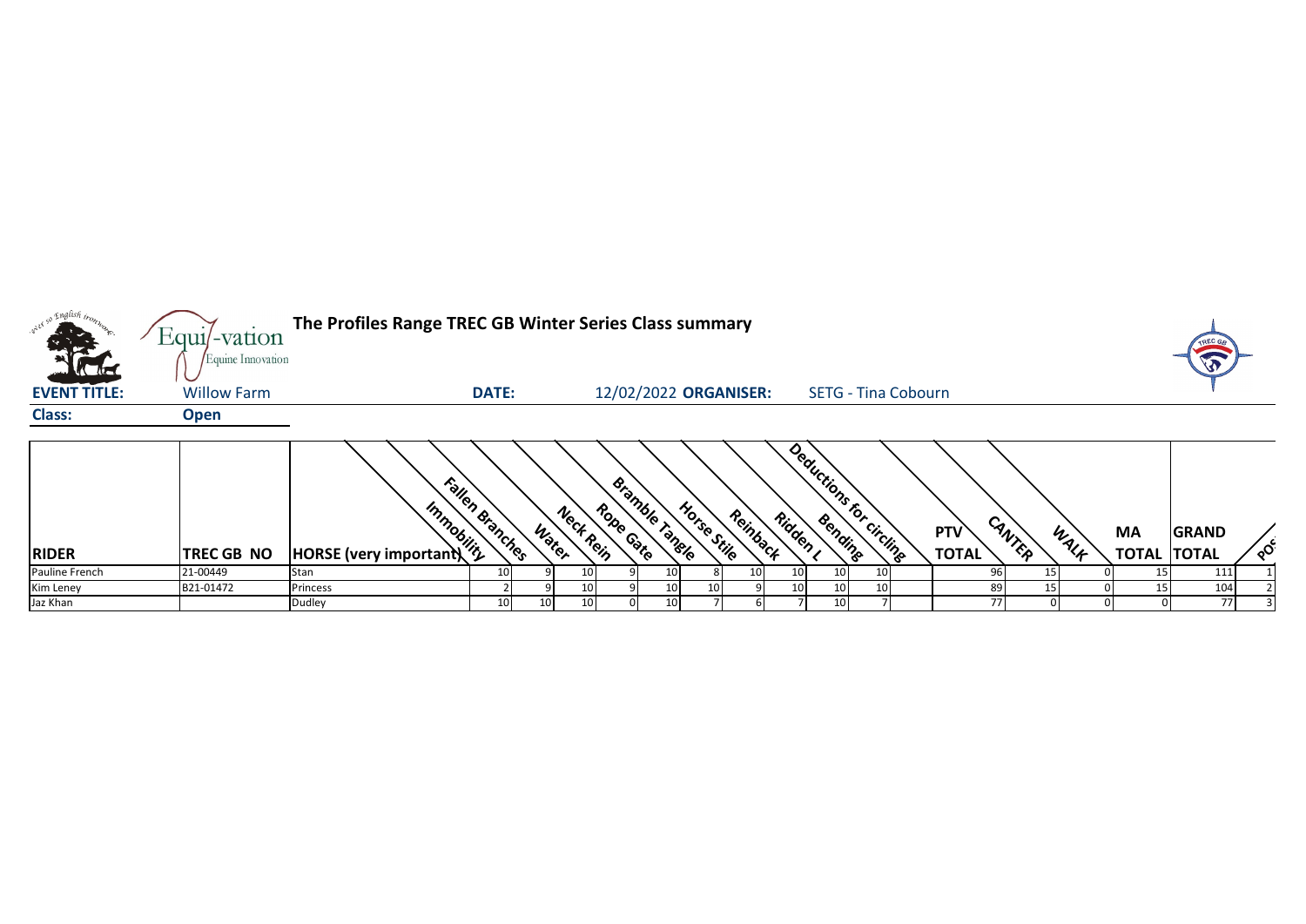| over so knglish iron. | Equi/-vation       | The Profiles Range TREC GB Winter Series Class summary |                 |                    |                       |                |             |          |                 |                            |                 |                            |        |      |                                 | TREC G       |          |
|-----------------------|--------------------|--------------------------------------------------------|-----------------|--------------------|-----------------------|----------------|-------------|----------|-----------------|----------------------------|-----------------|----------------------------|--------|------|---------------------------------|--------------|----------|
| <b>K The</b>          | Equine Innovation  |                                                        |                 |                    |                       |                |             |          |                 |                            |                 |                            |        |      |                                 | VO           |          |
| <b>EVENT TITLE:</b>   | <b>Willow Farm</b> |                                                        | <b>DATE:</b>    |                    | 12/02/2022 ORGANISER: |                |             |          |                 | <b>SETG - Tina Cobourn</b> |                 |                            |        |      |                                 |              |          |
| <b>Class:</b>         | <b>Open</b>        |                                                        |                 |                    |                       |                |             |          |                 |                            |                 |                            |        |      |                                 |              |          |
| <b>RIDER</b>          | <b>TREC GB NO</b>  | <b>Amplified Manufacturer</b>                          | Fallen Branches | Neck Rein<br>Water | Rope Gate             | Bramble Tangle | Horse Stile | Reinback | Ridden I        | Deductions for circling    |                 | <b>PTV</b><br><b>TOTAL</b> | CANTER | WALF | <b>MA</b><br><b>TOTAL TOTAL</b> | <b>GRAND</b> | $\delta$ |
| Pauline French        | 21-00449           | Stan                                                   | 10              | 10                 |                       | 10             |             | 10       | 10 <sub>l</sub> | 10 <sup>1</sup>            | 10 <sup>1</sup> |                            | 15     |      |                                 | 111          |          |
| Kim Leney             | B21-01472          | Princess                                               |                 | 10                 |                       | 10             | 10          |          | 10              | 10                         | 10 <sup>1</sup> | 89                         |        |      | 15                              | 104          |          |
| Jaz Khan              |                    | Dudley                                                 | 10              | 10<br>10           |                       | 10             |             |          |                 | 10                         |                 | 77                         |        |      |                                 | 77           |          |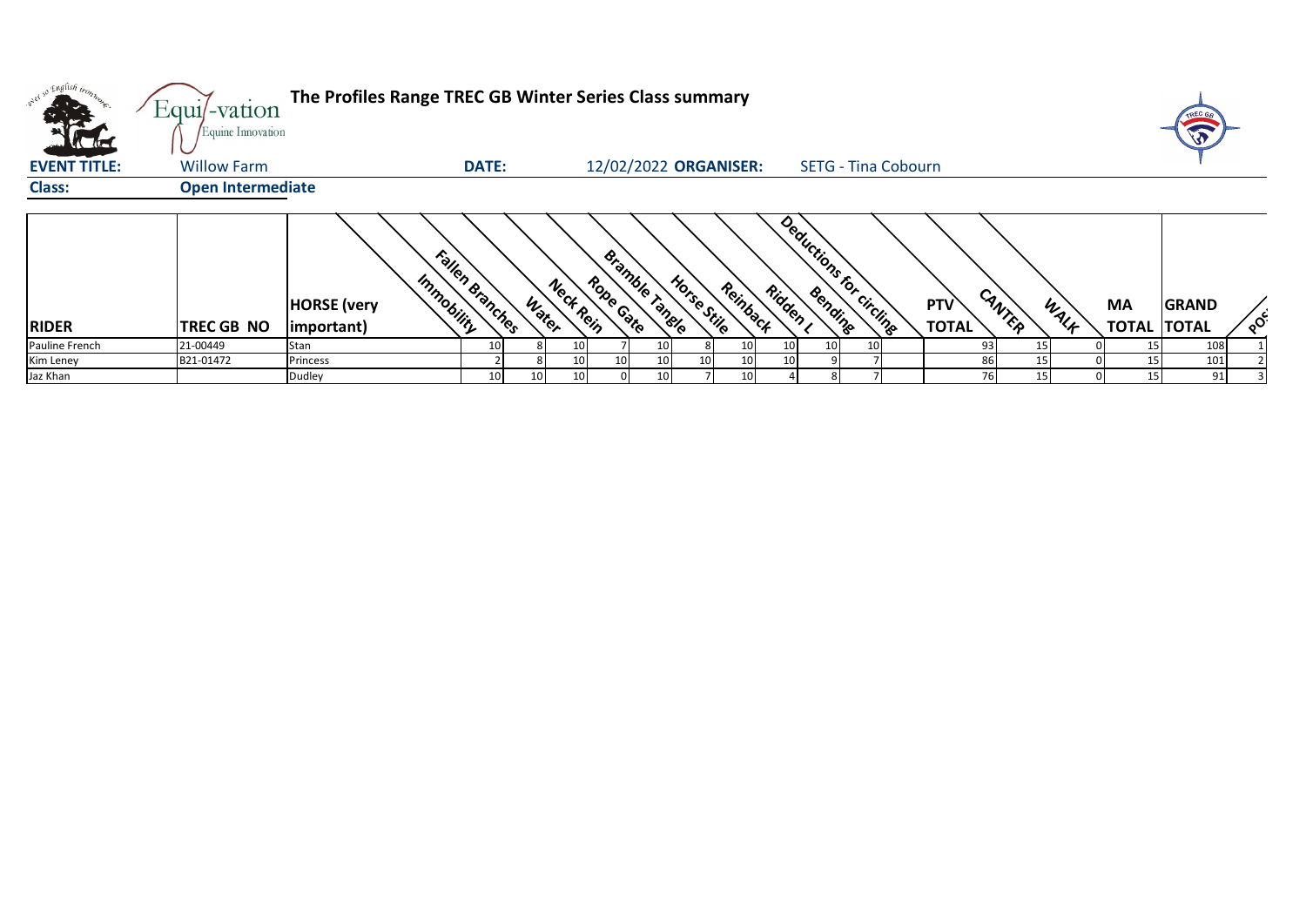|                                    | Equi/-vation<br>Equine Innovation | The Profiles Range TREC GB Winter Series Class summary |                 |                    |                             |                         |          |                            |                     |        |      |    |                                    |
|------------------------------------|-----------------------------------|--------------------------------------------------------|-----------------|--------------------|-----------------------------|-------------------------|----------|----------------------------|---------------------|--------|------|----|------------------------------------|
| <b>KLAZ</b><br><b>EVENT TITLE:</b> | <b>Willow Farm</b>                |                                                        | <b>DATE:</b>    |                    | 12/02/2022 ORGANISER:       |                         |          | <b>SETG - Tina Cobourn</b> |                     |        |      |    |                                    |
| <b>Class:</b>                      | <b>Open Intermediate</b>          |                                                        |                 |                    |                             |                         |          |                            |                     |        |      |    |                                    |
| <b>RIDER</b>                       | <b>TREC GB NO</b>                 | Immobility<br><b>HORSE</b> (very<br>(important)        | Fallen Branches | Neck Rein<br>Water | Bramble Tangle<br>Rope Gate | Horse Stile<br>Reinback | Ridden , | Deductions for circling    | PTV<br><b>TOTAL</b> | CANTER | WALK | MA | <b>GRAND</b><br><b>TOTAL TOTAL</b> |
| Pauline French                     | 21-00449                          | Stan                                                   |                 | 10                 | 10 <sub>1</sub>             |                         |          | 10<br>10                   |                     | 93     | 15   |    | 108                                |
| Kim Leney                          | B21-01472                         | Princess                                               |                 | 10                 | 10 <sub>1</sub>             | 10                      |          |                            |                     | 86     |      |    | 101                                |
| Jaz Khan                           |                                   | Dudley                                                 | 10<br>10        | 10                 | 10                          |                         |          |                            |                     |        | 15   |    | 91                                 |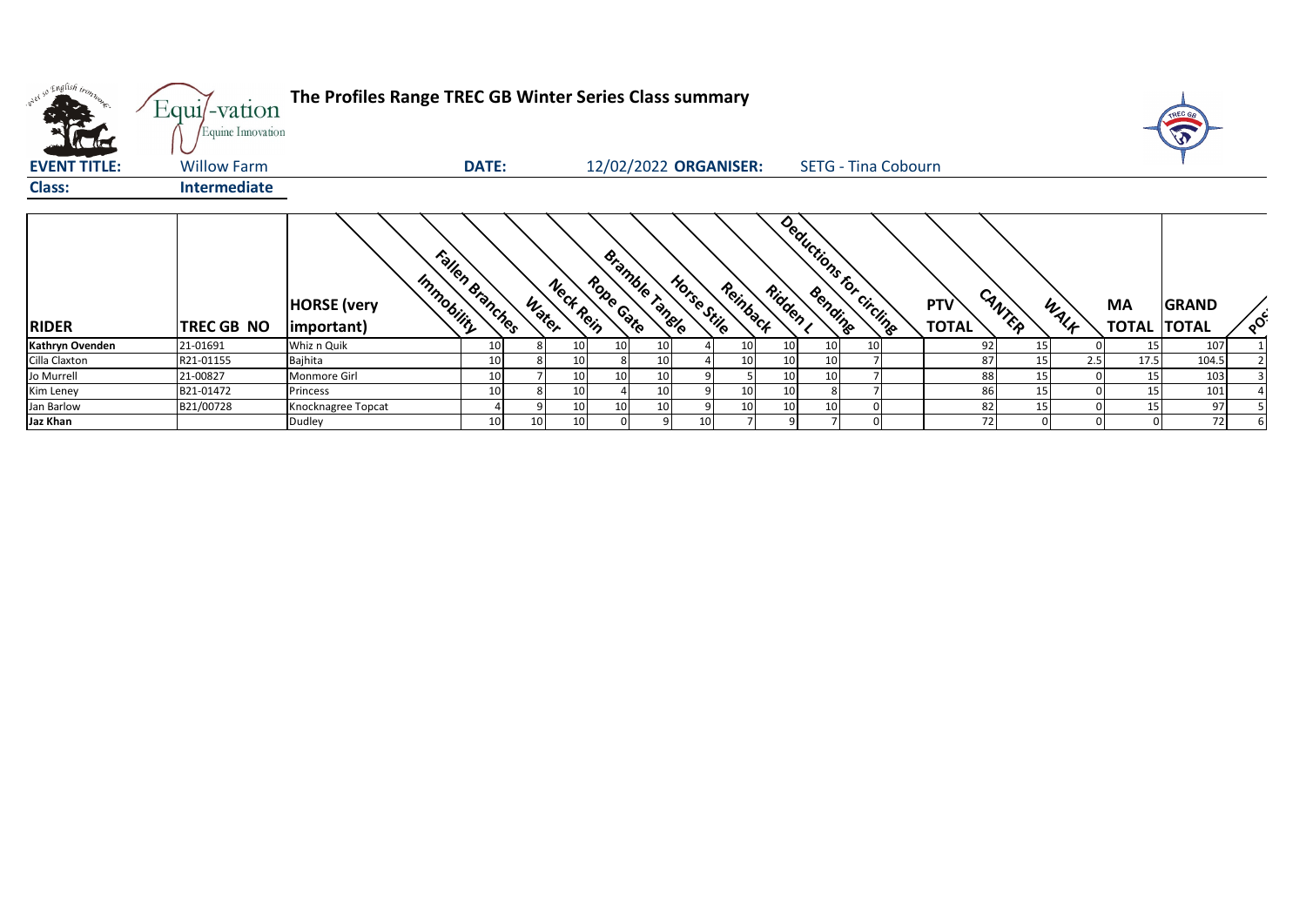| w <sup>ed 50</sup> English bronze | Equi/-vation<br>Equine Innovation | The Profiles Range TREC GB Winter Series Class summary |                 |                 |           |                 |                       |             |          |                 |    |                            |                     |        |      |                                 |              |          |
|-----------------------------------|-----------------------------------|--------------------------------------------------------|-----------------|-----------------|-----------|-----------------|-----------------------|-------------|----------|-----------------|----|----------------------------|---------------------|--------|------|---------------------------------|--------------|----------|
| <b>EVENT TITLE:</b>               | <b>Willow Farm</b>                |                                                        | <b>DATE:</b>    |                 |           |                 | 12/02/2022 ORGANISER: |             |          |                 |    | <b>SETG - Tina Cobourn</b> |                     |        |      |                                 |              |          |
| <b>Class:</b>                     | <b>Intermediate</b>               |                                                        |                 |                 |           |                 |                       |             |          |                 |    |                            |                     |        |      |                                 |              |          |
| <b>RIDER</b>                      | <b>ITREC GB NO</b>                | Immobility<br><b>HORSE</b> (very<br>important)         | Fallen Branches | Water           | Neck Rein | Rope Cate       | Bramble Tangle        | Horse Stile | Reinback | Ridden I        |    | Deductions for circlings   | PTV<br><b>TOTAL</b> | CANTER | WALF | <b>MA</b><br><b>TOTAL TOTAL</b> | <b>GRAND</b> | $\delta$ |
| Kathryn Ovenden                   | 21-01691                          | Whiz n Quik                                            | 10              |                 | 10        | 10              | 10 <sup>1</sup>       |             | 10       | 10 <sup>1</sup> |    |                            | 92                  | 15     |      | 15                              | 107          |          |
| Cilla Claxton                     | R21-01155                         | Bajhita                                                | 10              |                 | 10        |                 | 10 <sup>°</sup>       |             | 10       | 10 <sup>1</sup> |    |                            | 87                  | 15     | 2.5  | 17.5                            | 104.5        |          |
| Jo Murrell                        | 21-00827                          | Monmore Girl                                           | 10              |                 | 10        | 10 <sup>1</sup> | 10                    |             |          | 10 <sup>1</sup> | 10 |                            | 88                  | 15     |      | 15                              | 103          |          |
| Kim Leney                         | B21-01472                         | Princess                                               | 10              |                 | 10        |                 | 10 <sup>1</sup>       |             | 10       | 10              |    |                            | 86                  | 15     |      | 15                              | 101          |          |
| Jan Barlow                        | B21/00728                         | Knocknagree Topcat                                     |                 |                 | 10        | 10              | 10 <sup>°</sup>       |             | 10       | 10              |    |                            | 82                  | 15     |      | 15                              | 97           |          |
| Jaz Khan                          |                                   | Dudley                                                 | 10              | 10 <sup>1</sup> | 10        |                 | q                     | 10          |          |                 |    |                            | 72                  |        |      |                                 | 72           |          |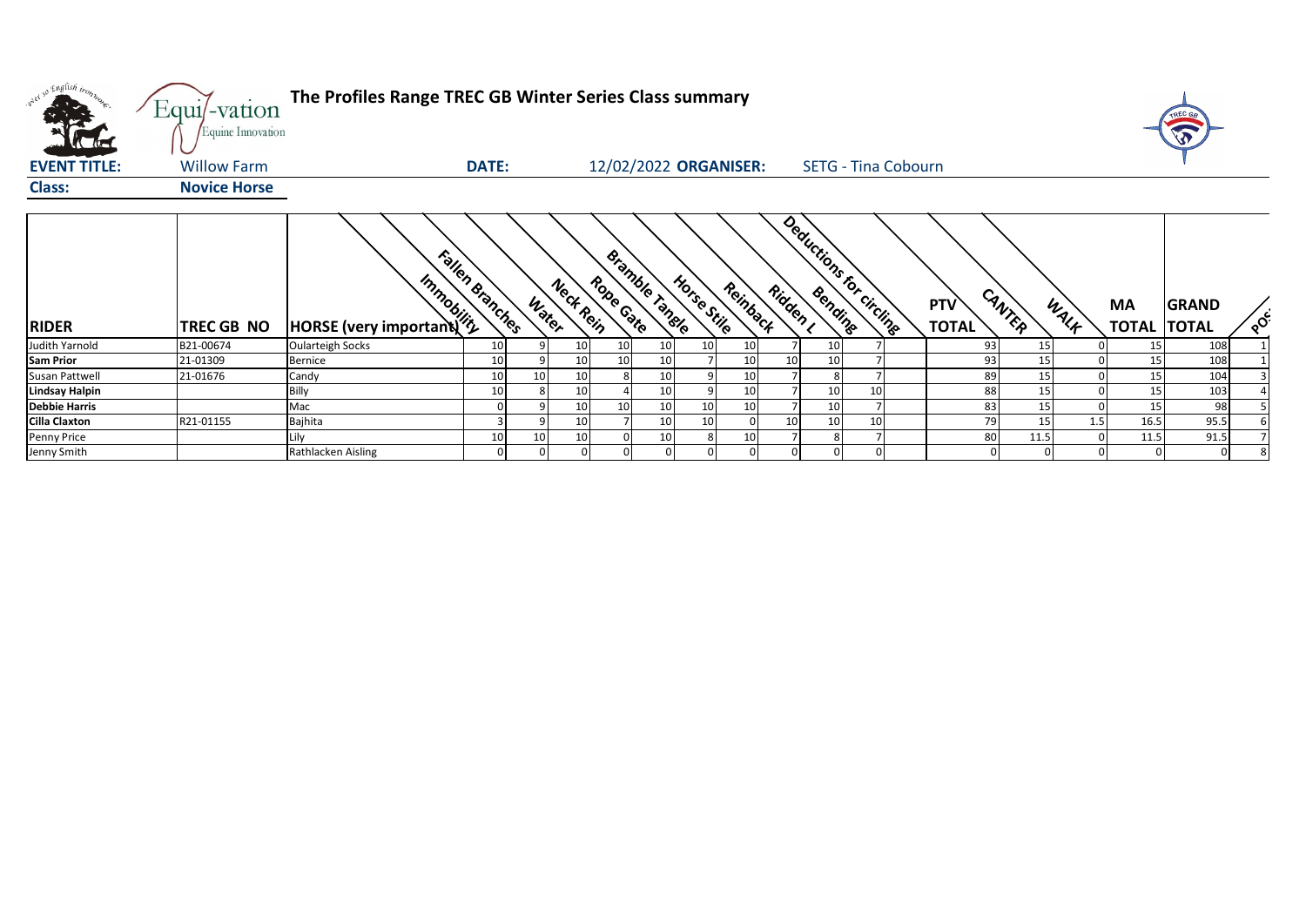| w <sup>ed so English trong</sup><br><b>K</b> de | Equi/-vation<br>Equine Innovation | The Profiles Range TREC GB Winter Series Class summary |                 |       |           |                 |                       |                       |          |                 |    |                            |                            |        |      |                                 | TREC GA      |          |
|-------------------------------------------------|-----------------------------------|--------------------------------------------------------|-----------------|-------|-----------|-----------------|-----------------------|-----------------------|----------|-----------------|----|----------------------------|----------------------------|--------|------|---------------------------------|--------------|----------|
| <b>EVENT TITLE:</b>                             | <b>Willow Farm</b>                |                                                        | <b>DATE:</b>    |       |           |                 |                       | 12/02/2022 ORGANISER: |          |                 |    | <b>SETG - Tina Cobourn</b> |                            |        |      |                                 |              |          |
| <b>Class:</b>                                   | <b>Novice Horse</b>               |                                                        |                 |       |           |                 |                       |                       |          |                 |    |                            |                            |        |      |                                 |              |          |
| <b>RIDER</b>                                    | TREC GB NO                        | <b>Amplified Manufacturer</b>                          | Fallen Branches | Water | Neck Rein | Rope Gate       | <b>Bramble Tangle</b> | Horse Stile           | Reinback | Ridden ,        |    | Deductions for circlings   | <b>PTV</b><br><b>TOTAL</b> | CANTER | WALF | <b>MA</b><br><b>TOTAL TOTAL</b> | <b>GRAND</b> | $\delta$ |
| Judith Yarnold                                  | B21-00674                         | <b>Oularteigh Socks</b>                                | 10              |       | 10        | 10              |                       |                       | 10       |                 | 10 |                            | 93                         | 15     |      | 15                              | 108          |          |
| <b>Sam Prior</b>                                | 21-01309                          | <b>Bernice</b>                                         | 10              |       | 10        | 10 <sup>1</sup> |                       |                       | 10       | 10              | 10 |                            | 93                         | 15     |      | 15                              | 108          |          |
| Susan Pattwell                                  | 21-01676                          | Candy                                                  | 10              | 10    | 10        |                 |                       |                       | 10       |                 |    |                            | 89                         | 15     |      | 15                              | 104          |          |
| <b>Lindsay Halpin</b>                           |                                   | Billy                                                  | 10              |       | 10        |                 |                       |                       | 10       |                 | 10 | 10                         | 88                         | 15     |      | 15                              | 103          |          |
| <b>Debbie Harris</b>                            |                                   | Mac                                                    |                 |       | 10        | 10              | 10                    |                       | 10       |                 | 10 |                            | 83                         | 15     |      | 15                              | 98           |          |
| <b>Cilla Claxton</b>                            | R21-01155                         | Bajhita                                                |                 |       | 10        |                 |                       |                       |          | 10 <sup>1</sup> | 10 | 10                         | 79                         | 15     | 1.5  | 16.5                            | 95.5         |          |
| Penny Price                                     |                                   | Lily                                                   | 10              | 10    | 10        |                 |                       |                       | 10       |                 |    |                            | 80                         | 11.5   |      | 11.5                            | 91.5         |          |
| Jenny Smith                                     |                                   | Rathlacken Aisling                                     | 0               |       |           |                 |                       |                       |          |                 |    |                            |                            |        |      |                                 |              |          |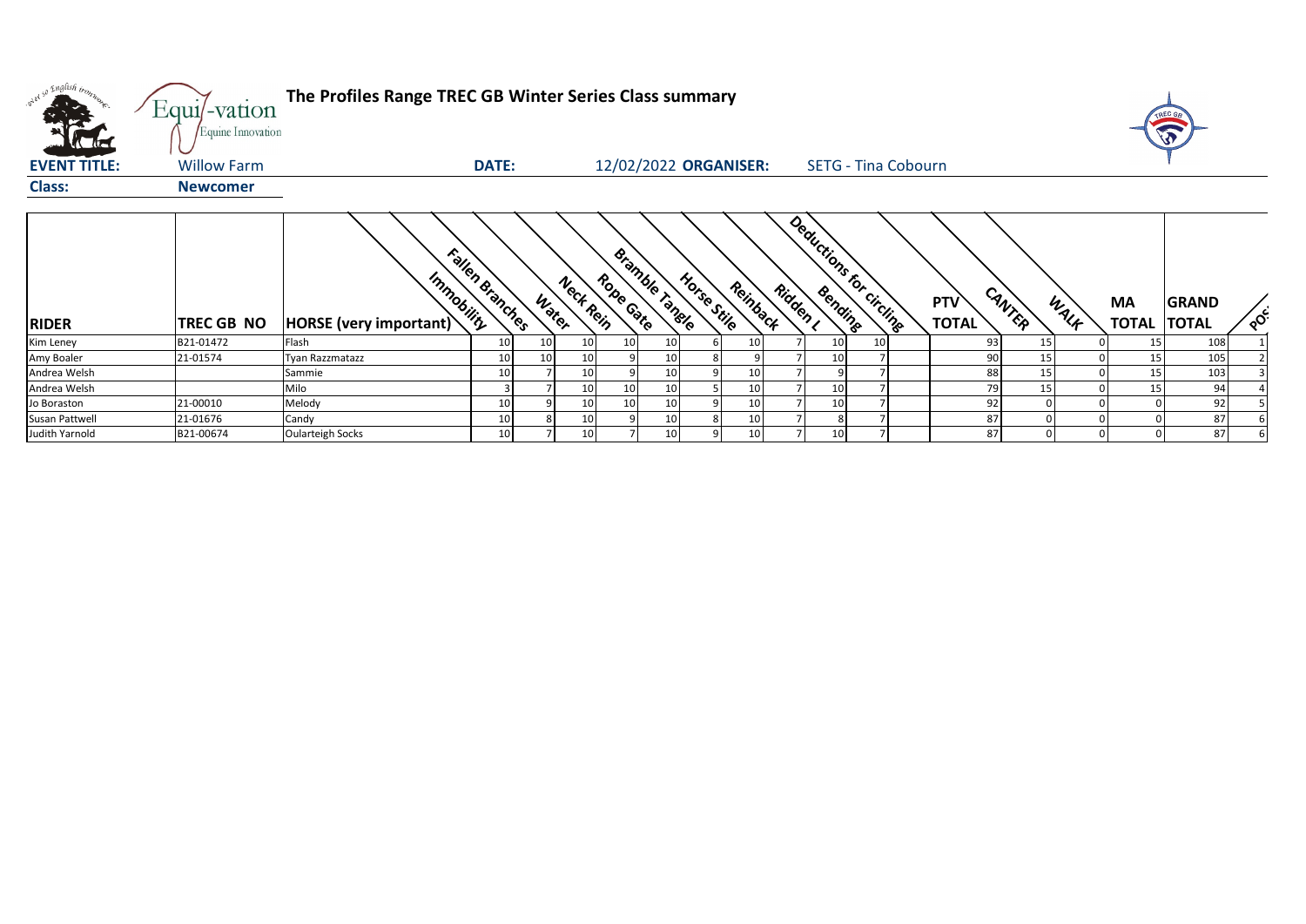| what so English trong | Equi/-vation<br>Equine Innovation | The Profiles Range TREC GB Winter Series Class summary |                       |                       |                                    |                         |          |                            |                                      |      |                    | T                            |          |
|-----------------------|-----------------------------------|--------------------------------------------------------|-----------------------|-----------------------|------------------------------------|-------------------------|----------|----------------------------|--------------------------------------|------|--------------------|------------------------------|----------|
| <b>EVENT TITLE:</b>   | <b>Willow Farm</b>                |                                                        | DATE:                 |                       |                                    | 12/02/2022 ORGANISER:   |          | <b>SETG - Tina Cobourn</b> |                                      |      |                    |                              |          |
| <b>Class:</b>         | <b>Newcomer</b>                   |                                                        |                       |                       |                                    |                         |          |                            |                                      |      |                    |                              |          |
| <b>RIDER</b>          | TREC GB NO                        | Immobility<br>HORSE (very important)                   | Fallen Branches       | Nect Rein<br>Water    | Bramble Tangle<br>Rope Gate        | Horse Stile<br>Reinback | Ridden I | Deductions for Circling    | CANTER<br><b>PTV</b><br><b>TOTAL</b> | WALK | MA<br><b>TOTAL</b> | <b>GRAND</b><br><b>TOTAL</b> | $\delta$ |
| Kim Leney             | B21-01472                         | Flash                                                  | 10<br>10 <sup>1</sup> | 10                    | 10 <sub>1</sub><br>10 <sup>1</sup> | 10                      |          | 10<br>10 <sup>1</sup>      | 93                                   | 15   | 15 <sub>l</sub>    | 108                          |          |
| Amy Boaler            | 21-01574                          | Tyan Razzmatazz                                        | 10                    | 10 <sup>1</sup><br>10 | 10 <sub>1</sub>                    |                         |          | 10                         | 90                                   | 15   | 15                 | 105                          |          |
| Andrea Welsh          |                                   | Sammie                                                 | 10                    | 10                    | 10 <sup>1</sup>                    | 10 <sub>1</sub>         |          |                            | 88                                   | 15   | 15                 | 103                          |          |
| Andrea Welsh          |                                   | Milo                                                   |                       | 10                    | 10 <sup>°</sup><br>10 <sup>1</sup> | 10 <sup>1</sup>         |          | 10                         | 79                                   | 15   | 15                 | 94                           |          |
| Jo Boraston           | 21-00010                          | Melody                                                 | 10                    | 10                    | 10<br>10 <sup>1</sup>              | 10                      |          | 10                         | 92                                   |      |                    | 92                           |          |
| Susan Pattwell        | 21-01676                          | Candy                                                  | 10                    | 10                    | 10 <sup>1</sup>                    | 10                      |          |                            | 87                                   |      |                    | 87                           |          |
| Judith Yarnold        | B21-00674                         | <b>Oularteigh Socks</b>                                | 10 <sup>1</sup>       | 10                    | 10 <sup>1</sup>                    | 10                      |          | 10 <sup>1</sup>            | 87                                   |      |                    | 87                           |          |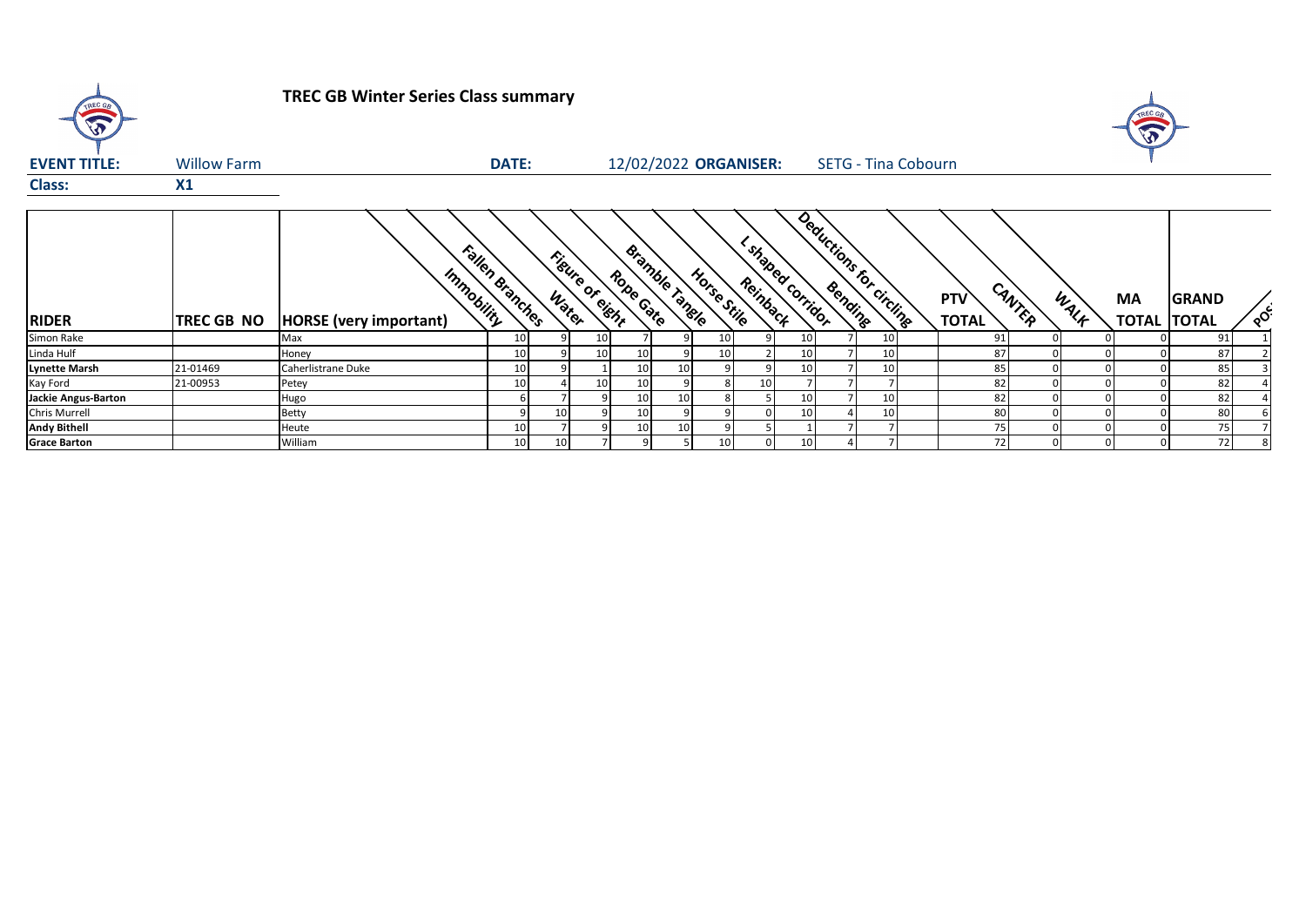| TREC GB<br>$\widehat{\widehat{\mathbf{v}}}$ |                    | <b>TREC GB Winter Series Class summary</b>  |                 |    |                 |                             |    |                                              |    |                            |                 |                     |        |      |           |                                    |               |
|---------------------------------------------|--------------------|---------------------------------------------|-----------------|----|-----------------|-----------------------------|----|----------------------------------------------|----|----------------------------|-----------------|---------------------|--------|------|-----------|------------------------------------|---------------|
| <b>EVENT TITLE:</b>                         | <b>Willow Farm</b> |                                             | <b>DATE:</b>    |    |                 | 12/02/2022 ORGANISER:       |    |                                              |    | <b>SETG - Tina Cobourn</b> |                 |                     |        |      |           |                                    |               |
| <b>Class:</b>                               | X1                 |                                             |                 |    |                 |                             |    |                                              |    |                            |                 |                     |        |      |           |                                    |               |
|                                             |                    |                                             |                 |    |                 |                             |    |                                              |    |                            |                 |                     |        |      |           |                                    |               |
| <b>RIDER</b>                                | <b>TREC GB NO</b>  | Immobility<br><b>HORSE</b> (very important) | Fallen Branches |    | Figure of eight | Bramble Tangle<br>Rope Gate |    | Estraped corridor<br>Horse Stile<br>Reinback |    | Deductions for circline    |                 | PTV<br><b>TOTAL</b> | CANTER | WALK | <b>MA</b> | <b>GRAND</b><br><b>TOTAL TOTAL</b> | $\circ^\circ$ |
| Simon Rake                                  |                    | Max                                         | 10 <sup>1</sup> |    | 10              |                             |    | 10 <sup>1</sup>                              | 10 |                            | 10 <sup>1</sup> | 91                  |        |      |           | 91                                 |               |
| Linda Hulf                                  |                    | Honey                                       | 10 <sup>1</sup> |    | 10              |                             |    | 10                                           | 10 |                            | 10              | 87                  |        |      |           | 87                                 |               |
| Lynette Marsh                               | 21-01469           | Caherlistrane Duke                          | 10 <sup>1</sup> |    |                 |                             | 10 |                                              |    |                            | 10              | 85                  |        |      |           | 85                                 |               |
| Kay Ford                                    | 21-00953           | Petey                                       | 10 <sup>1</sup> |    | 10              |                             |    | 10                                           |    |                            |                 | 82                  |        |      |           | 82                                 |               |
| Jackie Angus-Barton                         |                    | Hugo                                        |                 |    |                 |                             | 10 |                                              | 10 |                            | 10              | 82                  |        |      |           | 82                                 |               |
| Chris Murrell                               |                    | Betty                                       |                 | 10 |                 | 10                          |    |                                              | 10 |                            | 10 <sup>1</sup> | 80                  |        |      |           | 80                                 |               |

**Andy Bithell** Heute 10 7 9 10 10 9 5 1 7 7 75 0 0 0 75 7 **Grace Barton** William 10 10 7 9 5 10 0 10 4 7 72 0 0 0 72 8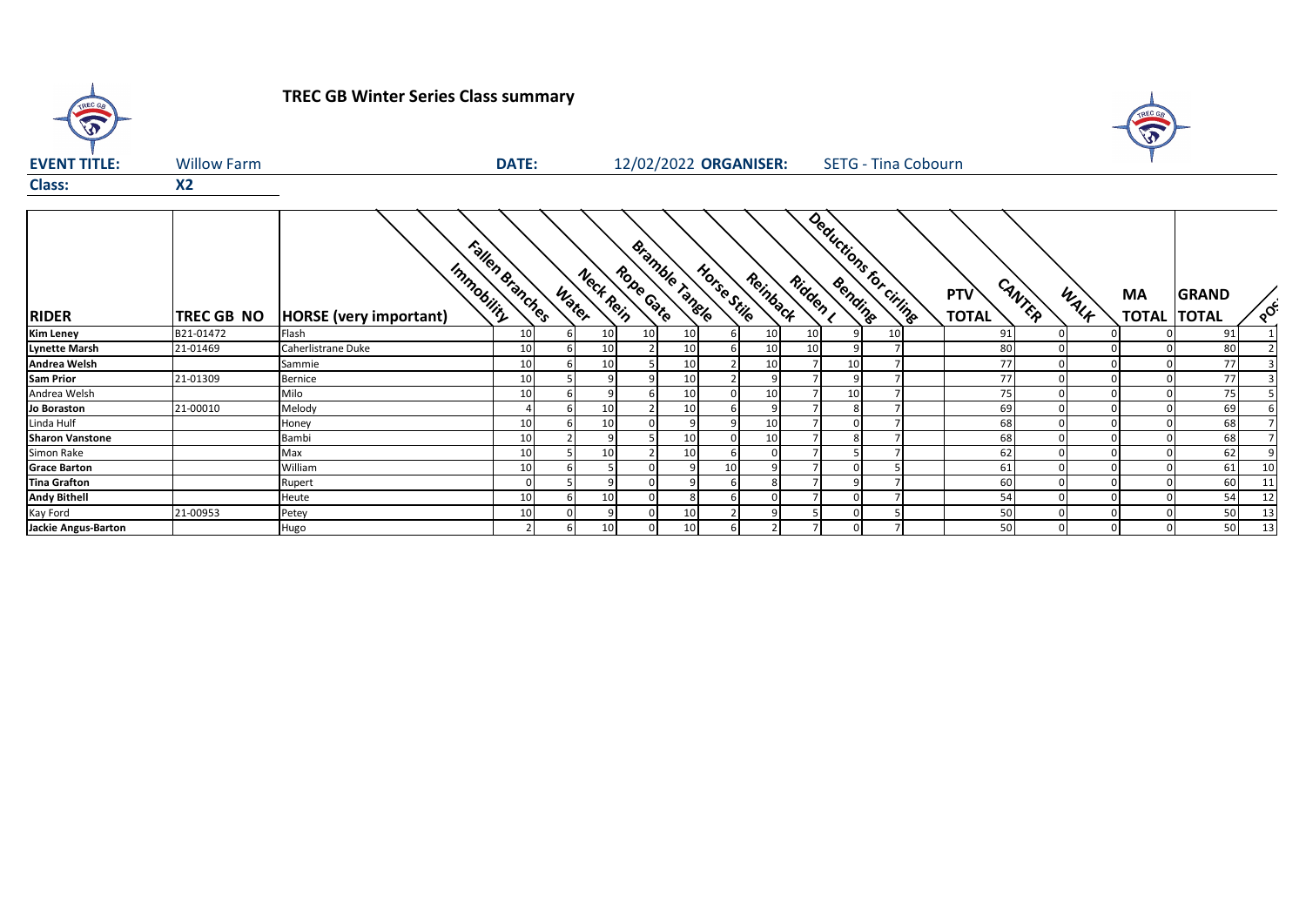

## **TREC GB Winter Series Class summary**



| <b>EVENT TITLE:</b> | <b>Willow Farm</b> |                        | <b>DATE:</b>                                                  | 12/02/2022 ORGANISER:                                                         | <b>SETG - Tina Cobourn</b>                                    |                                             |                                          |
|---------------------|--------------------|------------------------|---------------------------------------------------------------|-------------------------------------------------------------------------------|---------------------------------------------------------------|---------------------------------------------|------------------------------------------|
| <b>Class:</b>       | <b>X2</b>          |                        |                                                               |                                                                               |                                                               |                                             |                                          |
| <b>RIDER</b>        | <b>TREC GB NO</b>  | HORSE (very important) | Fallen Branches<br>Immobility<br>$\boldsymbol{\eta}$<br>Water | Bramble<br>Horse Stile<br>Rope Gate<br>Reinback<br><b>Veck Rein</b><br>iangle | Deductions for civing<br>Ridden<br><b>PTV</b><br><b>TOTAL</b> | CANTER<br><b>MA</b><br>WALF<br><b>TOTAL</b> | <b>GRAND</b><br>$\infty$<br><b>TOTAL</b> |
| Kim Lenev           | B21-01472          | lFlash                 | 10 I                                                          | 10 I<br>10 I<br>10                                                            | 10 I                                                          |                                             | 91 <sub>1</sub>                          |

| <b>RIDER</b>           | ITREC GB NO | <b>HORSE</b> (very important) | $\boldsymbol{\varphi}$ | .∾<br>$\mathcal{P}$ |    | $\gamma$ | ົດ   | ⊸∕∾ | ั∕∾             | $\alpha$ | ′⊱ | ୍ଡ⁄ | <b>TOTAL</b> | ∶יפ | ́ᠰ | <b>TOTAL ITOTAL</b> |                 | ∾               |
|------------------------|-------------|-------------------------------|------------------------|---------------------|----|----------|------|-----|-----------------|----------|----|-----|--------------|-----|----|---------------------|-----------------|-----------------|
| <b>Kim Leney</b>       | B21-01472   | Flash                         | 10                     |                     | 10 | 101      |      |     | 10 <sup>1</sup> | 10       |    |     |              |     |    |                     | 91 <sub>1</sub> |                 |
| <b>Lynette Marsh</b>   | 21-01469    | Caherlistrane Duke            | 10                     |                     | 10 |          | 10 I |     | 10 <sup>1</sup> | 10       |    |     | 80           |     |    |                     | 80              |                 |
| <b>Andrea Welsh</b>    |             | Sammie                        | 10                     |                     | 10 |          | 10   |     | 10 <sup>1</sup> |          |    |     |              |     |    |                     | 77              |                 |
| <b>Sam Prior</b>       | 21-01309    | Bernice                       | 10                     |                     |    |          |      |     |                 |          |    |     |              |     |    |                     |                 |                 |
| Andrea Welsh           |             | Milo                          | 10                     |                     |    |          | 10   |     | 10 I            |          |    |     |              |     |    |                     |                 |                 |
| Jo Boraston            | 21-00010    | Melody                        |                        |                     | 10 |          |      |     |                 |          |    |     | 69           |     |    |                     | 69              |                 |
| Linda Hulf             |             | Honey                         | 10                     |                     | 10 |          |      |     | 10.             |          |    |     | 68           |     |    |                     | 68              |                 |
| <b>Sharon Vanstone</b> |             | Bambi                         | 10                     |                     |    |          |      |     | 10 <sup>1</sup> |          |    |     | 68           |     |    |                     | 68              |                 |
| Simon Rake             |             | Max                           | 10                     |                     | 10 |          |      |     |                 |          |    |     | 62           |     |    |                     | 62              |                 |
| <b>Grace Barton</b>    |             | William                       | 10                     |                     |    |          |      |     |                 |          |    |     | 61           |     |    |                     | 61              | 10 <sup>1</sup> |
| <b>Tina Grafton</b>    |             | Rupert                        |                        |                     |    |          |      |     |                 |          |    |     | 60           |     |    |                     | 60              |                 |
| <b>Andy Bithell</b>    |             | Heute                         | 10                     |                     | 10 |          |      |     |                 |          |    |     | 54           |     |    |                     |                 |                 |
| Kay Ford               | 21-00953    | Petey                         | 10                     |                     |    |          |      |     |                 |          |    |     | 50           |     |    |                     | 50              |                 |
| Jackie Angus-Barton    |             | Hugo                          |                        |                     | 10 | ΩI       |      |     |                 |          |    |     | 50           |     |    |                     | 50              | 13 <sup>1</sup> |